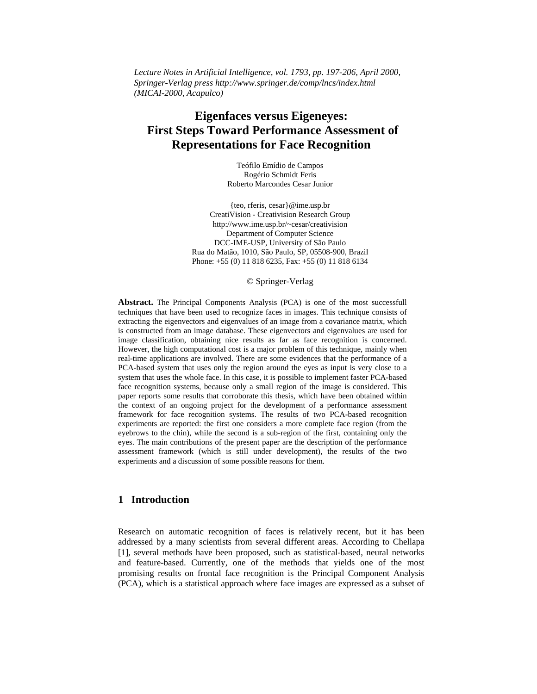*Lecture Notes in Artificial Intelligence, vol. 1793, pp. 197-206, April 2000, Springer-Verlag press http://www.springer.de/comp/lncs/index.html (MICAI-2000, Acapulco)*

# **Eigenfaces versus Eigeneyes: First Steps Toward Performance Assessment of Representations for Face Recognition**

Teófilo Emídio de Campos Rogério Schmidt Feris Roberto Marcondes Cesar Junior

{teo, rferis, cesar}@ime.usp.br CreatiVision - Creativision Research Group http://www.ime.usp.br/~cesar/creativision Department of Computer Science DCC-IME-USP, University of São Paulo Rua do Matão, 1010, São Paulo, SP, 05508-900, Brazil Phone: +55 (0) 11 818 6235, Fax: +55 (0) 11 818 6134

© Springer-Verlag

**Abstract.** The Principal Components Analysis (PCA) is one of the most successfull techniques that have been used to recognize faces in images. This technique consists of extracting the eigenvectors and eigenvalues of an image from a covariance matrix, which is constructed from an image database. These eigenvectors and eigenvalues are used for image classification, obtaining nice results as far as face recognition is concerned. However, the high computational cost is a major problem of this technique, mainly when real-time applications are involved. There are some evidences that the performance of a PCA-based system that uses only the region around the eyes as input is very close to a system that uses the whole face. In this case, it is possible to implement faster PCA-based face recognition systems, because only a small region of the image is considered. This paper reports some results that corroborate this thesis, which have been obtained within the context of an ongoing project for the development of a performance assessment framework for face recognition systems. The results of two PCA-based recognition experiments are reported: the first one considers a more complete face region (from the eyebrows to the chin), while the second is a sub-region of the first, containing only the eyes. The main contributions of the present paper are the description of the performance assessment framework (which is still under development), the results of the two experiments and a discussion of some possible reasons for them.

### **1 Introduction**

Research on automatic recognition of faces is relatively recent, but it has been addressed by a many scientists from several different areas. According to Chellapa [1], several methods have been proposed, such as statistical-based, neural networks and feature-based. Currently, one of the methods that yields one of the most promising results on frontal face recognition is the Principal Component Analysis (PCA), which is a statistical approach where face images are expressed as a subset of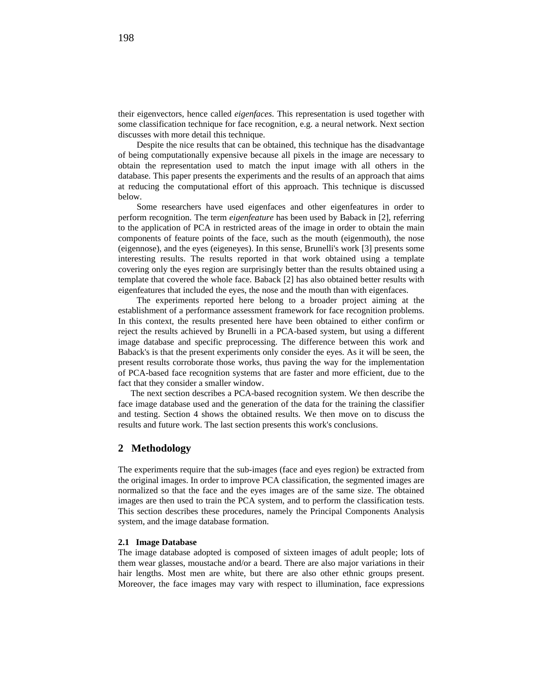their eigenvectors, hence called *eigenfaces*. This representation is used together with some classification technique for face recognition, e.g. a neural network. Next section discusses with more detail this technique.

Despite the nice results that can be obtained, this technique has the disadvantage of being computationally expensive because all pixels in the image are necessary to obtain the representation used to match the input image with all others in the database. This paper presents the experiments and the results of an approach that aims at reducing the computational effort of this approach. This technique is discussed below.

Some researchers have used eigenfaces and other eigenfeatures in order to perform recognition. The term *eigenfeature* has been used by Baback in [2], referring to the application of PCA in restricted areas of the image in order to obtain the main components of feature points of the face, such as the mouth (eigenmouth), the nose (eigennose), and the eyes (eigeneyes). In this sense, Brunelli's work [3] presents some interesting results. The results reported in that work obtained using a template covering only the eyes region are surprisingly better than the results obtained using a template that covered the whole face. Baback [2] has also obtained better results with eigenfeatures that included the eyes, the nose and the mouth than with eigenfaces.

The experiments reported here belong to a broader project aiming at the establishment of a performance assessment framework for face recognition problems. In this context, the results presented here have been obtained to either confirm or reject the results achieved by Brunelli in a PCA-based system, but using a different image database and specific preprocessing. The difference between this work and Baback's is that the present experiments only consider the eyes. As it will be seen, the present results corroborate those works, thus paving the way for the implementation of PCA-based face recognition systems that are faster and more efficient, due to the fact that they consider a smaller window.

The next section describes a PCA-based recognition system. We then describe the face image database used and the generation of the data for the training the classifier and testing. Section 4 shows the obtained results. We then move on to discuss the results and future work. The last section presents this work's conclusions.

#### **2 Methodology**

The experiments require that the sub-images (face and eyes region) be extracted from the original images. In order to improve PCA classification, the segmented images are normalized so that the face and the eyes images are of the same size. The obtained images are then used to train the PCA system, and to perform the classification tests. This section describes these procedures, namely the Principal Components Analysis system, and the image database formation.

#### **2.1 Image Database**

The image database adopted is composed of sixteen images of adult people; lots of them wear glasses, moustache and/or a beard. There are also major variations in their hair lengths. Most men are white, but there are also other ethnic groups present. Moreover, the face images may vary with respect to illumination, face expressions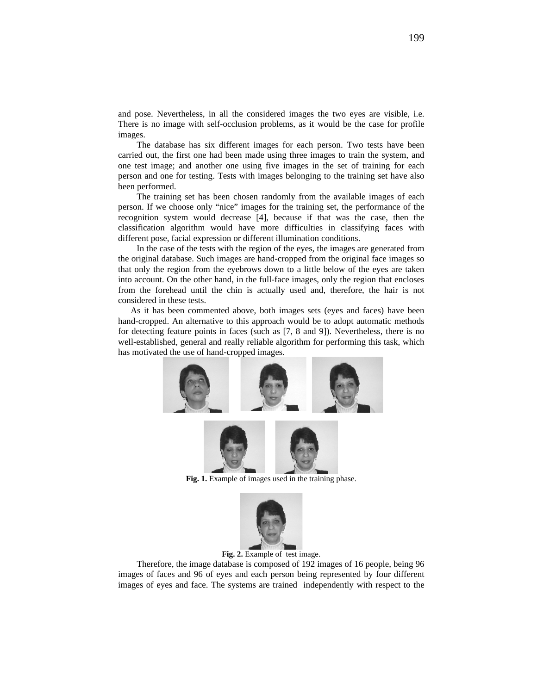and pose. Nevertheless, in all the considered images the two eyes are visible, i.e. There is no image with self-occlusion problems, as it would be the case for profile images.

The database has six different images for each person. Two tests have been carried out, the first one had been made using three images to train the system, and one test image; and another one using five images in the set of training for each person and one for testing. Tests with images belonging to the training set have also been performed.

The training set has been chosen randomly from the available images of each person. If we choose only "nice" images for the training set, the performance of the recognition system would decrease [4], because if that was the case, then the classification algorithm would have more difficulties in classifying faces with different pose, facial expression or different illumination conditions.

In the case of the tests with the region of the eyes, the images are generated from the original database. Such images are hand-cropped from the original face images so that only the region from the eyebrows down to a little below of the eyes are taken into account. On the other hand, in the full-face images, only the region that encloses from the forehead until the chin is actually used and, therefore, the hair is not considered in these tests.

As it has been commented above, both images sets (eyes and faces) have been hand-cropped. An alternative to this approach would be to adopt automatic methods for detecting feature points in faces (such as [7, 8 and 9]). Nevertheless, there is no well-established, general and really reliable algorithm for performing this task, which has motivated the use of hand-cropped images.



Fig. 1. Example of images used in the training phase.



**Fig. 2.** Example of test image.

Therefore, the image database is composed of 192 images of 16 people, being 96 images of faces and 96 of eyes and each person being represented by four different images of eyes and face. The systems are trained independently with respect to the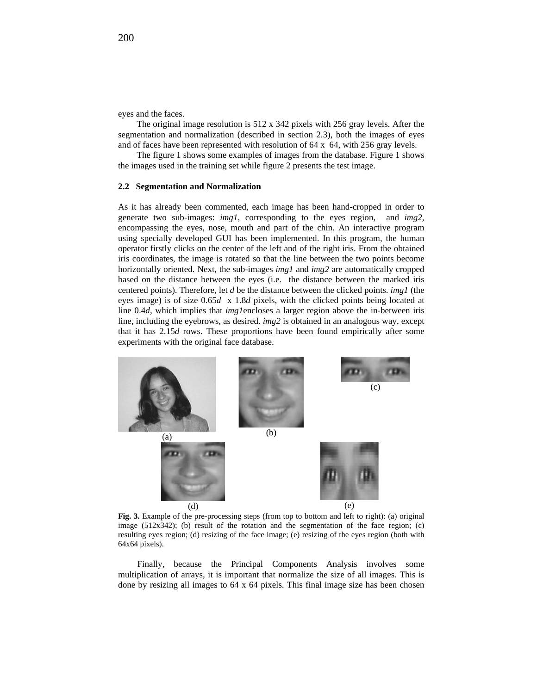eyes and the faces.

The original image resolution is 512 x 342 pixels with 256 gray levels. After the segmentation and normalization (described in section 2.3), both the images of eyes and of faces have been represented with resolution of 64 x 64, with 256 gray levels.

The figure 1 shows some examples of images from the database. Figure 1 shows the images used in the training set while figure 2 presents the test image.

#### **2.2 Segmentation and Normalization**

As it has already been commented, each image has been hand-cropped in order to generate two sub-images: *img1*, corresponding to the eyes region, and *img2*, encompassing the eyes, nose, mouth and part of the chin. An interactive program using specially developed GUI has been implemented. In this program, the human operator firstly clicks on the center of the left and of the right iris. From the obtained iris coordinates, the image is rotated so that the line between the two points become horizontally oriented. Next, the sub-images *img1* and *img2* are automatically cropped based on the distance between the eyes (i.e. the distance between the marked iris centered points). Therefore, let *d* be the distance between the clicked points. *img1* (the eyes image) is of size 0.65*d* x 1.8*d* pixels, with the clicked points being located at line 0.4*d*, which implies that *img1*encloses a larger region above the in-between iris line, including the eyebrows, as desired. *img2* is obtained in an analogous way, except that it has 2.15*d* rows. These proportions have been found empirically after some experiments with the original face database.



**Fig. 3.** Example of the pre-processing steps (from top to bottom and left to right): (a) original image  $(512x342)$ ; (b) result of the rotation and the segmentation of the face region; (c) resulting eyes region; (d) resizing of the face image; (e) resizing of the eyes region (both with 64x64 pixels).

Finally, because the Principal Components Analysis involves some multiplication of arrays, it is important that normalize the size of all images. This is done by resizing all images to 64 x 64 pixels. This final image size has been chosen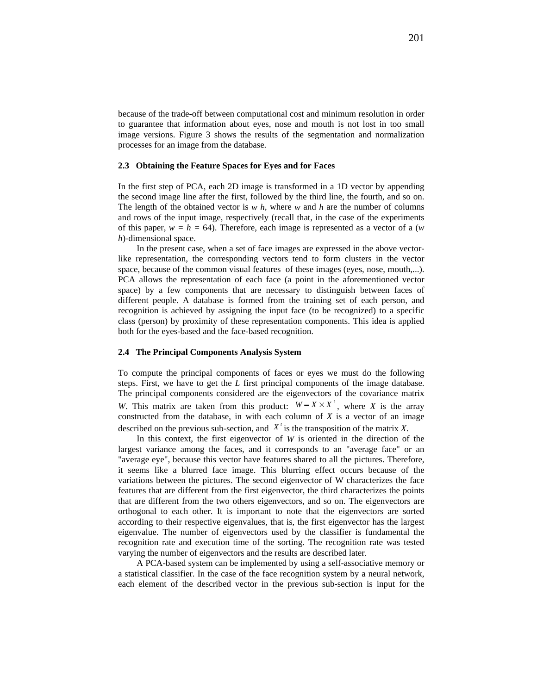because of the trade-off between computational cost and minimum resolution in order to guarantee that information about eyes, nose and mouth is not lost in too small image versions. Figure 3 shows the results of the segmentation and normalization processes for an image from the database.

#### **2.3 Obtaining the Feature Spaces for Eyes and for Faces**

In the first step of PCA, each 2D image is transformed in a 1D vector by appending the second image line after the first, followed by the third line, the fourth, and so on. The length of the obtained vector is  $w h$ , where  $w$  and  $h$  are the number of columns and rows of the input image, respectively (recall that, in the case of the experiments of this paper,  $w = h = 64$ ). Therefore, each image is represented as a vector of a (*w*) *h*)-dimensional space.

In the present case, when a set of face images are expressed in the above vectorlike representation, the corresponding vectors tend to form clusters in the vector space, because of the common visual features of these images (eyes, nose, mouth,...). PCA allows the representation of each face (a point in the aforementioned vector space) by a few components that are necessary to distinguish between faces of different people. A database is formed from the training set of each person, and recognition is achieved by assigning the input face (to be recognized) to a specific class (person) by proximity of these representation components. This idea is applied both for the eyes-based and the face-based recognition.

#### **2.4 The Principal Components Analysis System**

To compute the principal components of faces or eyes we must do the following steps. First, we have to get the *L* first principal components of the image database. The principal components considered are the eigenvectors of the covariance matrix *W*. This matrix are taken from this product:  $W = X \times X'$ , where *X* is the array constructed from the database, in with each column of *X* is a vector of an image described on the previous sub-section, and  $X'$  is the transposition of the matrix *X*.

In this context, the first eigenvector of *W* is oriented in the direction of the largest variance among the faces, and it corresponds to an "average face" or an "average eye", because this vector have features shared to all the pictures. Therefore, it seems like a blurred face image. This blurring effect occurs because of the variations between the pictures. The second eigenvector of W characterizes the face features that are different from the first eigenvector, the third characterizes the points that are different from the two others eigenvectors, and so on. The eigenvectors are orthogonal to each other. It is important to note that the eigenvectors are sorted according to their respective eigenvalues, that is, the first eigenvector has the largest eigenvalue. The number of eigenvectors used by the classifier is fundamental the recognition rate and execution time of the sorting. The recognition rate was tested varying the number of eigenvectors and the results are described later.

A PCA-based system can be implemented by using a self-associative memory or a statistical classifier. In the case of the face recognition system by a neural network, each element of the described vector in the previous sub-section is input for the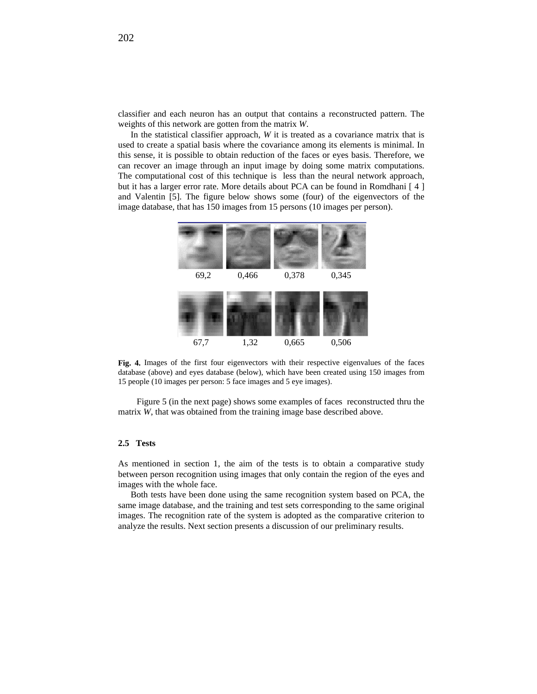classifier and each neuron has an output that contains a reconstructed pattern. The weights of this network are gotten from the matrix *W*.

In the statistical classifier approach, *W* it is treated as a covariance matrix that is used to create a spatial basis where the covariance among its elements is minimal. In this sense, it is possible to obtain reduction of the faces or eyes basis. Therefore, we can recover an image through an input image by doing some matrix computations. The computational cost of this technique is less than the neural network approach, but it has a larger error rate. More details about PCA can be found in Romdhani [ 4 ] and Valentin [5]. The figure below shows some (four) of the eigenvectors of the image database, that has 150 images from 15 persons (10 images per person).



**Fig. 4.** Images of the first four eigenvectors with their respective eigenvalues of the faces database (above) and eyes database (below), which have been created using 150 images from 15 people (10 images per person: 5 face images and 5 eye images).

Figure 5 (in the next page) shows some examples of faces reconstructed thru the matrix *W*, that was obtained from the training image base described above.

#### **2.5 Tests**

As mentioned in section 1, the aim of the tests is to obtain a comparative study between person recognition using images that only contain the region of the eyes and images with the whole face.

Both tests have been done using the same recognition system based on PCA, the same image database, and the training and test sets corresponding to the same original images. The recognition rate of the system is adopted as the comparative criterion to analyze the results. Next section presents a discussion of our preliminary results.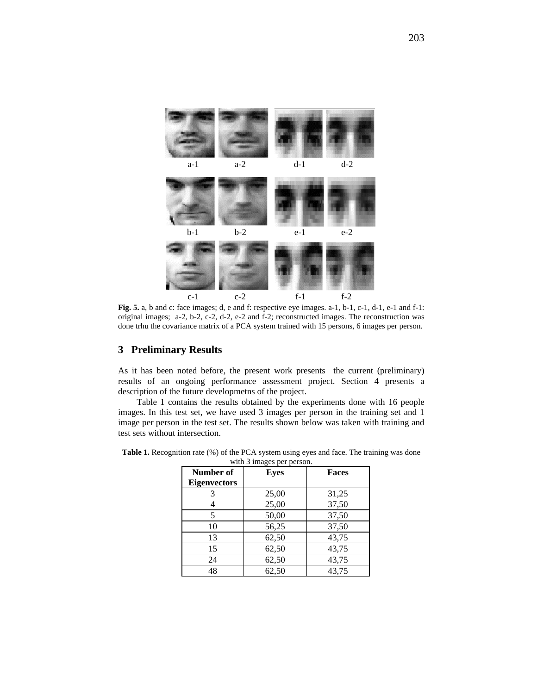

**Fig. 5.** a, b and c: face images; d, e and f: respective eye images. a-1, b-1, c-1, d-1, e-1 and f-1: original images; a-2, b-2, c-2, d-2, e-2 and f-2; reconstructed images. The reconstruction was done trhu the covariance matrix of a PCA system trained with 15 persons, 6 images per person.

# **3 Preliminary Results**

As it has been noted before, the present work presents the current (preliminary) results of an ongoing performance assessment project. Section 4 presents a description of the future developmetns of the project.

Table 1 contains the results obtained by the experiments done with 16 people images. In this test set, we have used 3 images per person in the training set and 1 image per person in the test set. The results shown below was taken with training and test sets without intersection.

| $w$ rui $v$ miages per person. |             |              |
|--------------------------------|-------------|--------------|
| Number of                      | <b>Eyes</b> | <b>Faces</b> |
| Eigenvectors                   |             |              |
| 3                              | 25,00       | 31,25        |
| 4                              | 25,00       | 37,50        |
| 5                              | 50,00       | 37,50        |
| 10                             | 56,25       | 37,50        |
| 13                             | 62,50       | 43,75        |
| 15                             | 62,50       | 43,75        |
| 24                             | 62,50       | 43,75        |
| 48                             | 62,50       | 43,75        |

**Table 1.** Recognition rate (%) of the PCA system using eyes and face. The training was done with 3 images per person.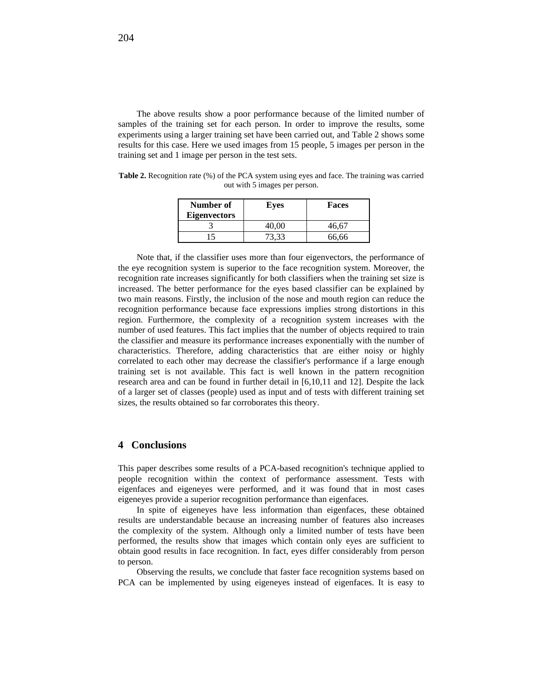The above results show a poor performance because of the limited number of samples of the training set for each person. In order to improve the results, some experiments using a larger training set have been carried out, and Table 2 shows some results for this case. Here we used images from 15 people, 5 images per person in the training set and 1 image per person in the test sets.

**Table 2.** Recognition rate (%) of the PCA system using eyes and face. The training was carried out with 5 images per person.

| Number of<br><b>Eigenvectors</b> | Eyes  | Faces |
|----------------------------------|-------|-------|
|                                  | 40.00 | 46.67 |
| 15                               | 73.33 | 66,66 |

Note that, if the classifier uses more than four eigenvectors, the performance of the eye recognition system is superior to the face recognition system. Moreover, the recognition rate increases significantly for both classifiers when the training set size is increased. The better performance for the eyes based classifier can be explained by two main reasons. Firstly, the inclusion of the nose and mouth region can reduce the recognition performance because face expressions implies strong distortions in this region. Furthermore, the complexity of a recognition system increases with the number of used features. This fact implies that the number of objects required to train the classifier and measure its performance increases exponentially with the number of characteristics. Therefore, adding characteristics that are either noisy or highly correlated to each other may decrease the classifier's performance if a large enough training set is not available. This fact is well known in the pattern recognition research area and can be found in further detail in [6,10,11 and 12]. Despite the lack of a larger set of classes (people) used as input and of tests with different training set sizes, the results obtained so far corroborates this theory.

## **4 Conclusions**

This paper describes some results of a PCA-based recognition's technique applied to people recognition within the context of performance assessment. Tests with eigenfaces and eigeneyes were performed, and it was found that in most cases eigeneyes provide a superior recognition performance than eigenfaces.

In spite of eigeneyes have less information than eigenfaces, these obtained results are understandable because an increasing number of features also increases the complexity of the system. Although only a limited number of tests have been performed, the results show that images which contain only eyes are sufficient to obtain good results in face recognition. In fact, eyes differ considerably from person to person.

Observing the results, we conclude that faster face recognition systems based on PCA can be implemented by using eigeneyes instead of eigenfaces. It is easy to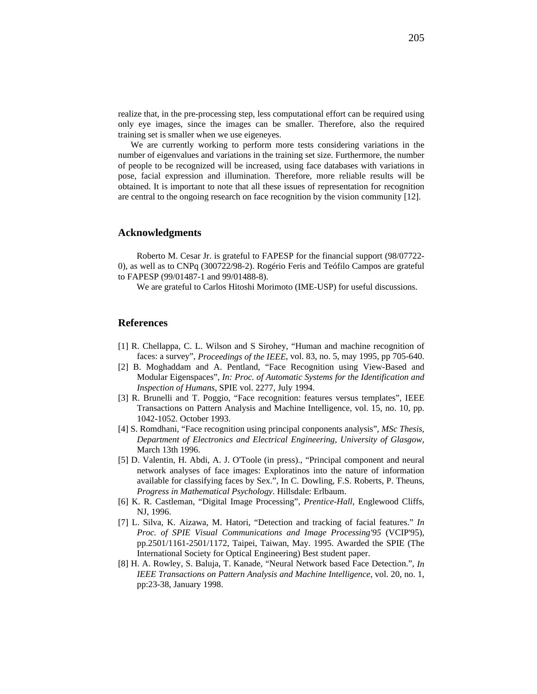realize that, in the pre-processing step, less computational effort can be required using only eye images, since the images can be smaller. Therefore, also the required training set is smaller when we use eigeneyes.

We are currently working to perform more tests considering variations in the number of eigenvalues and variations in the training set size. Furthermore, the number of people to be recognized will be increased, using face databases with variations in pose, facial expression and illumination. Therefore, more reliable results will be obtained. It is important to note that all these issues of representation for recognition are central to the ongoing research on face recognition by the vision community [12].

## **Acknowledgments**

Roberto M. Cesar Jr. is grateful to FAPESP for the financial support (98/07722- 0), as well as to CNPq (300722/98-2). Rogério Feris and Teófilo Campos are grateful to FAPESP (99/01487-1 and 99/01488-8).

We are grateful to Carlos Hitoshi Morimoto (IME-USP) for useful discussions.

## **References**

- [1] R. Chellappa, C. L. Wilson and S Sirohey, "Human and machine recognition of faces: a survey", *Proceedings of the IEEE*, vol. 83, no. 5, may 1995, pp 705-640.
- [2] B. Moghaddam and A. Pentland, "Face Recognition using View-Based and Modular Eigenspaces", *In: Proc. of Automatic Systems for the Identification and Inspection of Humans*, SPIE vol. 2277, July 1994.
- [3] R. Brunelli and T. Poggio, "Face recognition: features versus templates", IEEE Transactions on Pattern Analysis and Machine Intelligence, vol. 15, no. 10, pp. 1042-1052. October 1993.
- [4] S. Romdhani, "Face recognition using principal conponents analysis", *MSc Thesis, Department of Electronics and Electrical Engineering, University of Glasgow*, March 13th 1996.
- [5] D. Valentin, H. Abdi, A. J. O'Toole (in press)., "Principal component and neural network analyses of face images: Exploratinos into the nature of information available for classifying faces by Sex.", In C. Dowling, F.S. Roberts, P. Theuns, *Progress in Mathematical Psychology*. Hillsdale: Erlbaum.
- [6] K. R. Castleman, "Digital Image Processing", *Prentice-Hall*, Englewood Cliffs, NJ, 1996.
- [7] L. Silva, K. Aizawa, M. Hatori, "Detection and tracking of facial features." *In Proc. of SPIE Visual Communications and Image Processing'95* (VCIP'95), pp.2501/1161-2501/1172, Taipei, Taiwan, May. 1995. Awarded the SPIE (The International Society for Optical Engineering) Best student paper.
- [8] H. A. Rowley, S. Baluja, T. Kanade, "Neural Network based Face Detection.", *In IEEE Transactions on Pattern Analysis and Machine Intelligence*, vol. 20, no. 1, pp:23-38, January 1998.